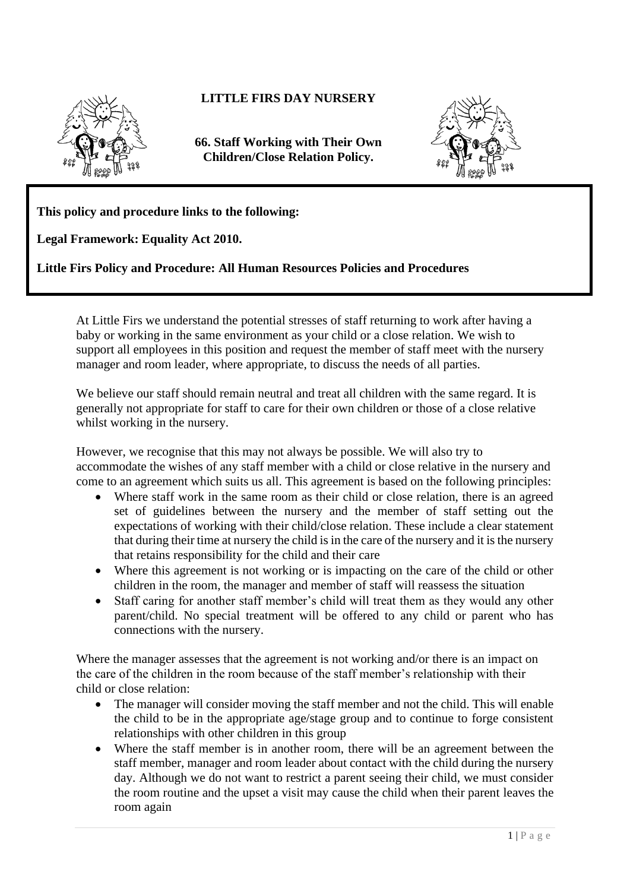

## **LITTLE FIRS DAY NURSERY**

**66. Staff Working with Their Own Children/Close Relation Policy.**



**This policy and procedure links to the following:** 

**Legal Framework: Equality Act 2010.**

**Little Firs Policy and Procedure: All Human Resources Policies and Procedures**

At Little Firs we understand the potential stresses of staff returning to work after having a baby or working in the same environment as your child or a close relation. We wish to support all employees in this position and request the member of staff meet with the nursery manager and room leader, where appropriate, to discuss the needs of all parties.

We believe our staff should remain neutral and treat all children with the same regard. It is generally not appropriate for staff to care for their own children or those of a close relative whilst working in the nursery.

However, we recognise that this may not always be possible. We will also try to accommodate the wishes of any staff member with a child or close relative in the nursery and come to an agreement which suits us all. This agreement is based on the following principles:

- Where staff work in the same room as their child or close relation, there is an agreed set of guidelines between the nursery and the member of staff setting out the expectations of working with their child/close relation. These include a clear statement that during their time at nursery the child is in the care of the nursery and it is the nursery that retains responsibility for the child and their care
- Where this agreement is not working or is impacting on the care of the child or other children in the room, the manager and member of staff will reassess the situation
- Staff caring for another staff member's child will treat them as they would any other parent/child. No special treatment will be offered to any child or parent who has connections with the nursery.

Where the manager assesses that the agreement is not working and/or there is an impact on the care of the children in the room because of the staff member's relationship with their child or close relation:

- The manager will consider moving the staff member and not the child. This will enable the child to be in the appropriate age/stage group and to continue to forge consistent relationships with other children in this group
- Where the staff member is in another room, there will be an agreement between the staff member, manager and room leader about contact with the child during the nursery day. Although we do not want to restrict a parent seeing their child, we must consider the room routine and the upset a visit may cause the child when their parent leaves the room again